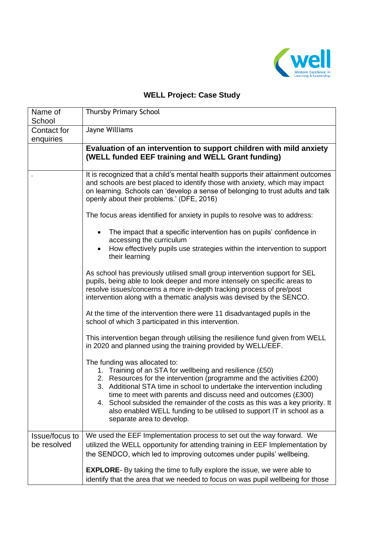

# **WELL Project: Case Study**

| Name of<br>School             | <b>Thursby Primary School</b>                                                                                                                                                                                                                                                                                                                                                                                                                                                                          |
|-------------------------------|--------------------------------------------------------------------------------------------------------------------------------------------------------------------------------------------------------------------------------------------------------------------------------------------------------------------------------------------------------------------------------------------------------------------------------------------------------------------------------------------------------|
| Contact for<br>enquiries      | Jayne Williams                                                                                                                                                                                                                                                                                                                                                                                                                                                                                         |
|                               | Evaluation of an intervention to support children with mild anxiety<br>(WELL funded EEF training and WELL Grant funding)                                                                                                                                                                                                                                                                                                                                                                               |
|                               | It is recognized that a child's mental health supports their attainment outcomes<br>and schools are best placed to identify those with anxiety, which may impact<br>on learning. Schools can 'develop a sense of belonging to trust adults and talk<br>openly about their problems.' (DFE, 2016)                                                                                                                                                                                                       |
|                               | The focus areas identified for anxiety in pupils to resolve was to address:                                                                                                                                                                                                                                                                                                                                                                                                                            |
|                               | The impact that a specific intervention has on pupils' confidence in<br>$\bullet$<br>accessing the curriculum<br>How effectively pupils use strategies within the intervention to support<br>their learning                                                                                                                                                                                                                                                                                            |
|                               | As school has previously utilised small group intervention support for SEL<br>pupils, being able to look deeper and more intensely on specific areas to<br>resolve issues/concerns a more in-depth tracking process of pre/post<br>intervention along with a thematic analysis was devised by the SENCO.                                                                                                                                                                                               |
|                               | At the time of the intervention there were 11 disadvantaged pupils in the<br>school of which 3 participated in this intervention.                                                                                                                                                                                                                                                                                                                                                                      |
|                               | This intervention began through utilising the resilience fund given from WELL<br>in 2020 and planned using the training provided by WELL/EEF.                                                                                                                                                                                                                                                                                                                                                          |
|                               | The funding was allocated to:<br>1. Training of an STA for wellbeing and resilience (£50)<br>2. Resources for the intervention (programme and the activities £200)<br>3. Additional STA time in school to undertake the intervention including<br>time to meet with parents and discuss need and outcomes (£300)<br>4. School subsided the remainder of the costs as this was a key priority. It<br>also enabled WELL funding to be utilised to support IT in school as a<br>separate area to develop. |
| Issue/focus to<br>be resolved | We used the EEF Implementation process to set out the way forward. We                                                                                                                                                                                                                                                                                                                                                                                                                                  |
|                               | utilized the WELL opportunity for attending training in EEF Implementation by<br>the SENDCO, which led to improving outcomes under pupils' wellbeing.                                                                                                                                                                                                                                                                                                                                                  |
|                               | <b>EXPLORE-</b> By taking the time to fully explore the issue, we were able to<br>identify that the area that we needed to focus on was pupil wellbeing for those                                                                                                                                                                                                                                                                                                                                      |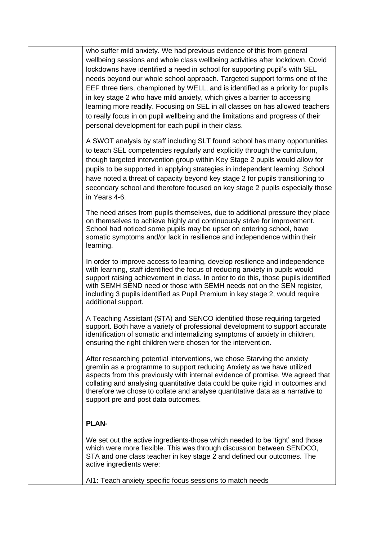who suffer mild anxiety. We had previous evidence of this from general wellbeing sessions and whole class wellbeing activities after lockdown. Covid lockdowns have identified a need in school for supporting pupil's with SEL needs beyond our whole school approach. Targeted support forms one of the EEF three tiers, championed by WELL, and is identified as a priority for pupils in key stage 2 who have mild anxiety, which gives a barrier to accessing learning more readily. Focusing on SEL in all classes on has allowed teachers to really focus in on pupil wellbeing and the limitations and progress of their personal development for each pupil in their class.

A SWOT analysis by staff including SLT found school has many opportunities to teach SEL competencies regularly and explicitly through the curriculum, though targeted intervention group within Key Stage 2 pupils would allow for pupils to be supported in applying strategies in independent learning. School have noted a threat of capacity beyond key stage 2 for pupils transitioning to secondary school and therefore focused on key stage 2 pupils especially those in Years 4-6.

The need arises from pupils themselves, due to additional pressure they place on themselves to achieve highly and continuously strive for improvement. School had noticed some pupils may be upset on entering school, have somatic symptoms and/or lack in resilience and independence within their learning.

In order to improve access to learning, develop resilience and independence with learning, staff identified the focus of reducing anxiety in pupils would support raising achievement in class. In order to do this, those pupils identified with SEMH SEND need or those with SEMH needs not on the SEN register, including 3 pupils identified as Pupil Premium in key stage 2, would require additional support.

A Teaching Assistant (STA) and SENCO identified those requiring targeted support. Both have a variety of professional development to support accurate identification of somatic and internalizing symptoms of anxiety in children, ensuring the right children were chosen for the intervention.

After researching potential interventions, we chose Starving the anxiety gremlin as a programme to support reducing Anxiety as we have utilized aspects from this previously with internal evidence of promise. We agreed that collating and analysing quantitative data could be quite rigid in outcomes and therefore we chose to collate and analyse quantitative data as a narrative to support pre and post data outcomes.

### **PLAN-**

We set out the active ingredients-those which needed to be 'tight' and those which were more flexible. This was through discussion between SENDCO, STA and one class teacher in key stage 2 and defined our outcomes. The active ingredients were:

AI1: Teach anxiety specific focus sessions to match needs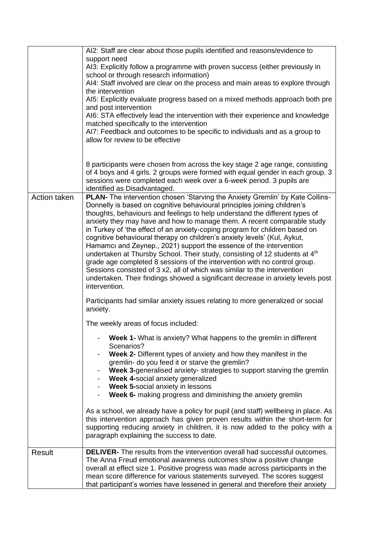|               | AI2: Staff are clear about those pupils identified and reasons/evidence to<br>support need<br>AI3: Explicitly follow a programme with proven success (either previously in<br>school or through research information)<br>AI4: Staff involved are clear on the process and main areas to explore through<br>the intervention<br>AI5: Explicitly evaluate progress based on a mixed methods approach both pre<br>and post intervention<br>AI6: STA effectively lead the intervention with their experience and knowledge<br>matched specifically to the intervention<br>AI7: Feedback and outcomes to be specific to individuals and as a group to<br>allow for review to be effective                                                                                                                                                                                                                                |
|---------------|---------------------------------------------------------------------------------------------------------------------------------------------------------------------------------------------------------------------------------------------------------------------------------------------------------------------------------------------------------------------------------------------------------------------------------------------------------------------------------------------------------------------------------------------------------------------------------------------------------------------------------------------------------------------------------------------------------------------------------------------------------------------------------------------------------------------------------------------------------------------------------------------------------------------|
|               | 8 participants were chosen from across the key stage 2 age range, consisting<br>of 4 boys and 4 girls. 2 groups were formed with equal gender in each group. 3<br>sessions were completed each week over a 6-week period. 3 pupils are<br>identified as Disadvantaged.                                                                                                                                                                                                                                                                                                                                                                                                                                                                                                                                                                                                                                              |
| Action taken  | <b>PLAN-</b> The intervention chosen 'Starving the Anxiety Gremlin' by Kate Collins-<br>Donnelly is based on cognitive behavioural principles joining children's<br>thoughts, behaviours and feelings to help understand the different types of<br>anxiety they may have and how to manage them. A recent comparable study<br>in Turkey of 'the effect of an anxiety-coping program for children based on<br>cognitive behavioural therapy on children's anxiety levels' (Kul, Aykut,<br>Hamamci and Zeynep., 2021) support the essence of the intervention<br>undertaken at Thursby School. Their study, consisting of 12 students at 4 <sup>th</sup><br>grade age completed 8 sessions of the intervention with no control group.<br>Sessions consisted of 3 x2, all of which was similar to the intervention<br>undertaken. Their findings showed a significant decrease in anxiety levels post<br>intervention. |
|               | Participants had similar anxiety issues relating to more generalized or social<br>anxiety.                                                                                                                                                                                                                                                                                                                                                                                                                                                                                                                                                                                                                                                                                                                                                                                                                          |
|               | The weekly areas of focus included:                                                                                                                                                                                                                                                                                                                                                                                                                                                                                                                                                                                                                                                                                                                                                                                                                                                                                 |
|               | Week 1- What is anxiety? What happens to the gremlin in different<br>Scenarios?<br>Week 2- Different types of anxiety and how they manifest in the<br>gremlin- do you feed it or starve the gremlin?<br>Week 3-generalised anxiety- strategies to support starving the gremlin<br>Week 4-social anxiety generalized<br>Week 5-social anxiety in lessons<br>Week 6- making progress and diminishing the anxiety gremlin                                                                                                                                                                                                                                                                                                                                                                                                                                                                                              |
|               | As a school, we already have a policy for pupil (and staff) wellbeing in place. As<br>this intervention approach has given proven results within the short-term for<br>supporting reducing anxiety in children, it is now added to the policy with a<br>paragraph explaining the success to date.                                                                                                                                                                                                                                                                                                                                                                                                                                                                                                                                                                                                                   |
| <b>Result</b> | <b>DELIVER-</b> The results from the intervention overall had successful outcomes.<br>The Anna Freud emotional awareness outcomes show a positive change<br>overall at effect size 1. Positive progress was made across participants in the<br>mean score difference for various statements surveyed. The scores suggest<br>that participant's worries have lessened in general and therefore their anxiety                                                                                                                                                                                                                                                                                                                                                                                                                                                                                                         |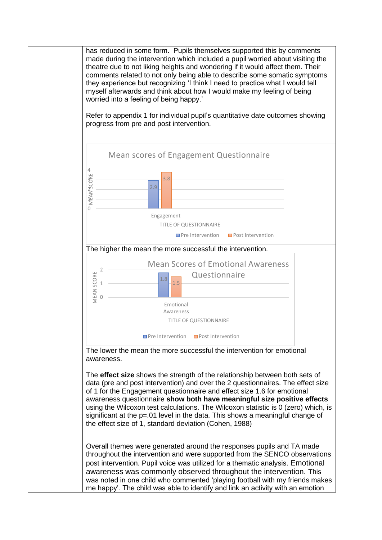has reduced in some form. Pupils themselves supported this by comments made during the intervention which included a pupil worried about visiting the theatre due to not liking heights and wondering if it would affect them. Their comments related to not only being able to describe some somatic symptoms they experience but recognizing 'I think I need to practice what I would tell myself afterwards and think about how I would make my feeling of being worried into a feeling of being happy.'

Refer to appendix 1 for individual pupil's quantitative date outcomes showing progress from pre and post intervention.

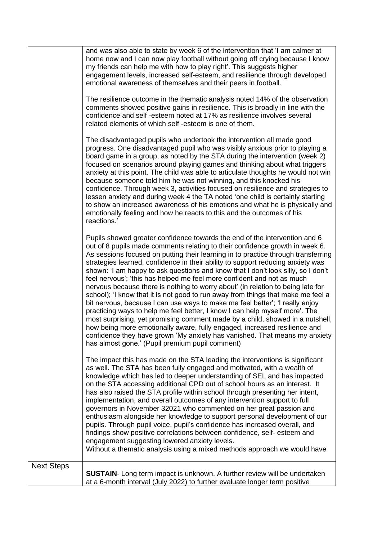|                   | and was also able to state by week 6 of the intervention that 'I am calmer at<br>home now and I can now play football without going off crying because I know<br>my friends can help me with how to play right'. This suggests higher<br>engagement levels, increased self-esteem, and resilience through developed<br>emotional awareness of themselves and their peers in football.<br>The resilience outcome in the thematic analysis noted 14% of the observation<br>comments showed positive gains in resilience. This is broadly in line with the<br>confidence and self-esteem noted at 17% as resilience involves several<br>related elements of which self -esteem is one of them.<br>The disadvantaged pupils who undertook the intervention all made good<br>progress. One disadvantaged pupil who was visibly anxious prior to playing a<br>board game in a group, as noted by the STA during the intervention (week 2)<br>focused on scenarios around playing games and thinking about what triggers<br>anxiety at this point. The child was able to articulate thoughts he would not win<br>because someone told him he was not winning, and this knocked his<br>confidence. Through week 3, activities focused on resilience and strategies to<br>lessen anxiety and during week 4 the TA noted 'one child is certainly starting<br>to show an increased awareness of his emotions and what he is physically and<br>emotionally feeling and how he reacts to this and the outcomes of his<br>reactions.' |
|-------------------|-------------------------------------------------------------------------------------------------------------------------------------------------------------------------------------------------------------------------------------------------------------------------------------------------------------------------------------------------------------------------------------------------------------------------------------------------------------------------------------------------------------------------------------------------------------------------------------------------------------------------------------------------------------------------------------------------------------------------------------------------------------------------------------------------------------------------------------------------------------------------------------------------------------------------------------------------------------------------------------------------------------------------------------------------------------------------------------------------------------------------------------------------------------------------------------------------------------------------------------------------------------------------------------------------------------------------------------------------------------------------------------------------------------------------------------------------------------------------------------------------------------------------|
|                   | Pupils showed greater confidence towards the end of the intervention and 6<br>out of 8 pupils made comments relating to their confidence growth in week 6.<br>As sessions focused on putting their learning in to practice through transferring<br>strategies learned, confidence in their ability to support reducing anxiety was<br>shown: 'I am happy to ask questions and know that I don't look silly, so I don't<br>feel nervous'; 'this has helped me feel more confident and not as much<br>nervous because there is nothing to worry about' (in relation to being late for<br>school); 'I know that it is not good to run away from things that make me feel a<br>bit nervous, because I can use ways to make me feel better'; 'I really enjoy<br>practicing ways to help me feel better, I know I can help myself more'. The<br>most surprising, yet promising comment made by a child, showed in a nutshell,<br>how being more emotionally aware, fully engaged, increased resilience and<br>confidence they have grown 'My anxiety has vanished. That means my anxiety<br>has almost gone.' (Pupil premium pupil comment)                                                                                                                                                                                                                                                                                                                                                                                   |
|                   | The impact this has made on the STA leading the interventions is significant<br>as well. The STA has been fully engaged and motivated, with a wealth of<br>knowledge which has led to deeper understanding of SEL and has impacted<br>on the STA accessing additional CPD out of school hours as an interest. It<br>has also raised the STA profile within school through presenting her intent,<br>implementation, and overall outcomes of any intervention support to full<br>governors in November 32021 who commented on her great passion and<br>enthusiasm alongside her knowledge to support personal development of our<br>pupils. Through pupil voice, pupil's confidence has increased overall, and<br>findings show positive correlations between confidence, self-esteem and<br>engagement suggesting lowered anxiety levels.<br>Without a thematic analysis using a mixed methods approach we would have                                                                                                                                                                                                                                                                                                                                                                                                                                                                                                                                                                                                   |
| <b>Next Steps</b> | <b>SUSTAIN-</b> Long term impact is unknown. A further review will be undertaken<br>at a 6-month interval (July 2022) to further evaluate longer term positive                                                                                                                                                                                                                                                                                                                                                                                                                                                                                                                                                                                                                                                                                                                                                                                                                                                                                                                                                                                                                                                                                                                                                                                                                                                                                                                                                          |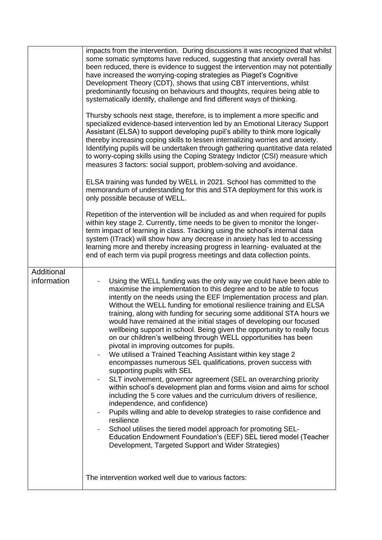|                           | impacts from the intervention. During discussions it was recognized that whilst<br>some somatic symptoms have reduced, suggesting that anxiety overall has<br>been reduced, there is evidence to suggest the intervention may not potentially<br>have increased the worrying-coping strategies as Piaget's Cognitive<br>Development Theory (CDT), shows that using CBT interventions, whilst<br>predominantly focusing on behaviours and thoughts, requires being able to<br>systematically identify, challenge and find different ways of thinking.<br>Thursby schools next stage, therefore, is to implement a more specific and<br>specialized evidence-based intervention led by an Emotional Literacy Support<br>Assistant (ELSA) to support developing pupil's ability to think more logically<br>thereby increasing coping skills to lessen internalizing worries and anxiety.<br>Identifying pupils will be undertaken through gathering quantitative data related<br>to worry-coping skills using the Coping Strategy Indictor (CSI) measure which<br>measures 3 factors: social support, problem-solving and avoidance.<br>ELSA training was funded by WELL in 2021. School has committed to the<br>memorandum of understanding for this and STA deployment for this work is<br>only possible because of WELL.<br>Repetition of the intervention will be included as and when required for pupils<br>within key stage 2. Currently, time needs to be given to monitor the longer-<br>term impact of learning in class. Tracking using the school's internal data<br>system (ITrack) will show how any decrease in anxiety has led to accessing<br>learning more and thereby increasing progress in learning-evaluated at the<br>end of each term via pupil progress meetings and data collection points. |
|---------------------------|--------------------------------------------------------------------------------------------------------------------------------------------------------------------------------------------------------------------------------------------------------------------------------------------------------------------------------------------------------------------------------------------------------------------------------------------------------------------------------------------------------------------------------------------------------------------------------------------------------------------------------------------------------------------------------------------------------------------------------------------------------------------------------------------------------------------------------------------------------------------------------------------------------------------------------------------------------------------------------------------------------------------------------------------------------------------------------------------------------------------------------------------------------------------------------------------------------------------------------------------------------------------------------------------------------------------------------------------------------------------------------------------------------------------------------------------------------------------------------------------------------------------------------------------------------------------------------------------------------------------------------------------------------------------------------------------------------------------------------------------------------------------------------------------------------------------|
| Additional<br>information | Using the WELL funding was the only way we could have been able to<br>maximise the implementation to this degree and to be able to focus<br>intently on the needs using the EEF Implementation process and plan.<br>Without the WELL funding for emotional resilience training and ELSA<br>training, along with funding for securing some additional STA hours we<br>would have remained at the initial stages of developing our focused<br>wellbeing support in school. Being given the opportunity to really focus<br>on our children's wellbeing through WELL opportunities has been<br>pivotal in improving outcomes for pupils.<br>We utilised a Trained Teaching Assistant within key stage 2<br>encompasses numerous SEL qualifications, proven success with<br>supporting pupils with SEL<br>SLT involvement, governor agreement (SEL an overarching priority<br>within school's development plan and forms vision and aims for school<br>including the 5 core values and the curriculum drivers of resilience,<br>independence, and confidence)<br>Pupils willing and able to develop strategies to raise confidence and<br>resilience<br>School utilises the tiered model approach for promoting SEL-<br>Education Endowment Foundation's (EEF) SEL tiered model (Teacher<br>Development, Targeted Support and Wider Strategies)<br>The intervention worked well due to various factors:                                                                                                                                                                                                                                                                                                                                                                                                                 |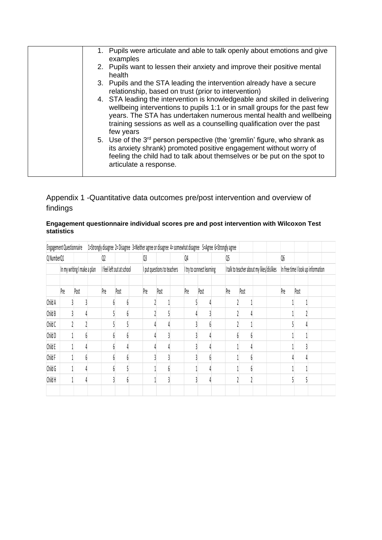| 1. Pupils were articulate and able to talk openly about emotions and give<br>examples<br>2. Pupils want to lessen their anxiety and improve their positive mental<br>health<br>3. Pupils and the STA leading the intervention already have a secure<br>relationship, based on trust (prior to intervention)<br>4. STA leading the intervention is knowledgeable and skilled in delivering<br>wellbeing interventions to pupils 1:1 or in small groups for the past few<br>years. The STA has undertaken numerous mental health and wellbeing<br>training sessions as well as a counselling qualification over the past<br>few years<br>5. Use of the 3 <sup>rd</sup> person perspective (the 'gremlin' figure, who shrank as<br>its anxiety shrank) promoted positive engagement without worry of<br>feeling the child had to talk about themselves or be put on the spot to<br>articulate a response. |  |
|--------------------------------------------------------------------------------------------------------------------------------------------------------------------------------------------------------------------------------------------------------------------------------------------------------------------------------------------------------------------------------------------------------------------------------------------------------------------------------------------------------------------------------------------------------------------------------------------------------------------------------------------------------------------------------------------------------------------------------------------------------------------------------------------------------------------------------------------------------------------------------------------------------|--|
|                                                                                                                                                                                                                                                                                                                                                                                                                                                                                                                                                                                                                                                                                                                                                                                                                                                                                                        |  |
|                                                                                                                                                                                                                                                                                                                                                                                                                                                                                                                                                                                                                                                                                                                                                                                                                                                                                                        |  |
|                                                                                                                                                                                                                                                                                                                                                                                                                                                                                                                                                                                                                                                                                                                                                                                                                                                                                                        |  |
|                                                                                                                                                                                                                                                                                                                                                                                                                                                                                                                                                                                                                                                                                                                                                                                                                                                                                                        |  |
|                                                                                                                                                                                                                                                                                                                                                                                                                                                                                                                                                                                                                                                                                                                                                                                                                                                                                                        |  |

## Appendix 1 -Quantitative data outcomes pre/post intervention and overview of findings

#### **Engagement questionnaire individual scores pre and post intervention with Wilcoxon Test statistics**

|            | <b>Engagement Questionnaire</b> |      |                           |     |      |                             |      |  |                           |      |  | 1=Strongly disagree 2= Disagree 3=Neither agree or disagree 4= somewhat disagree 5=Agree 6=Strongly agree |      |  |  |                                    |      |  |  |
|------------|---------------------------------|------|---------------------------|-----|------|-----------------------------|------|--|---------------------------|------|--|-----------------------------------------------------------------------------------------------------------|------|--|--|------------------------------------|------|--|--|
| Q NumberQ1 |                                 |      |                           | Q2  |      | Q3                          |      |  | Q4                        |      |  | Q5                                                                                                        |      |  |  | Q6                                 |      |  |  |
|            | In my writing I make a plan     |      | I feel left out at school |     |      | I put questions to teachers |      |  | I try to connect learning |      |  | I talk to teacher about my likes/dislikes                                                                 |      |  |  | In free time I look up information |      |  |  |
|            | Pre                             | Post |                           | Pre | Post | Pre                         | Post |  | Pre                       | Post |  | Pre                                                                                                       | Post |  |  | Pre                                | Post |  |  |
| Child A    |                                 |      |                           |     |      |                             |      |  |                           |      |  |                                                                                                           |      |  |  |                                    |      |  |  |
| Child B    |                                 |      |                           |     |      |                             |      |  |                           |      |  |                                                                                                           |      |  |  |                                    |      |  |  |
| Child C    |                                 |      |                           |     |      |                             |      |  |                           |      |  |                                                                                                           |      |  |  |                                    |      |  |  |
| Child D    |                                 |      |                           |     |      |                             |      |  |                           |      |  |                                                                                                           |      |  |  |                                    |      |  |  |
| Child E    |                                 |      |                           |     |      |                             |      |  |                           |      |  |                                                                                                           |      |  |  |                                    |      |  |  |
| Child F    |                                 |      |                           |     |      |                             |      |  |                           |      |  |                                                                                                           |      |  |  |                                    |      |  |  |
| Child G    |                                 |      |                           |     |      |                             |      |  |                           |      |  |                                                                                                           |      |  |  |                                    |      |  |  |
| Child H    |                                 |      |                           |     |      |                             |      |  |                           |      |  |                                                                                                           |      |  |  |                                    |      |  |  |
|            |                                 |      |                           |     |      |                             |      |  |                           |      |  |                                                                                                           |      |  |  |                                    |      |  |  |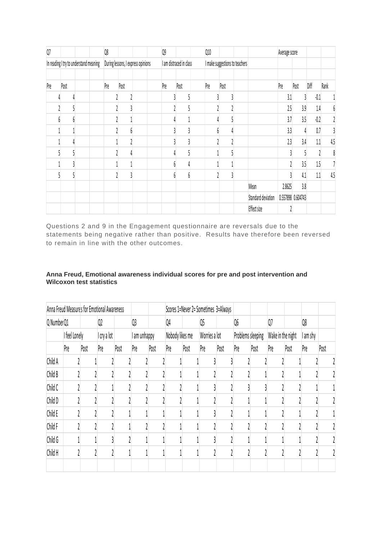| $Q$ 7                                  |      |                                    | Q8  |      |                         | Q9  |      |  | Q10                            |      |  |                    | Average score |                   |         |      |
|----------------------------------------|------|------------------------------------|-----|------|-------------------------|-----|------|--|--------------------------------|------|--|--------------------|---------------|-------------------|---------|------|
| In reading I try to understand meaning |      | During lessons, I express opinions |     |      | I am distraced in class |     |      |  | I make suggestions to teachers |      |  |                    |               |                   |         |      |
|                                        |      |                                    |     |      |                         |     |      |  |                                |      |  |                    |               |                   |         |      |
| Pre                                    | Post |                                    | Pre | Post |                         | Pre | Post |  | Pre                            | Post |  |                    | Pre           | Post              | Diff    | Rank |
|                                        |      |                                    |     |      |                         |     |      |  |                                |      |  |                    | 3.1           |                   | 0.1     |      |
|                                        |      |                                    |     |      |                         |     |      |  |                                |      |  |                    | 2.5           | 3.9               | $1.4\,$ | 6    |
|                                        |      |                                    |     |      |                         |     |      |  |                                |      |  |                    | 3.7           | 3.5               | $-0.2$  |      |
|                                        |      |                                    |     |      |                         |     |      |  |                                |      |  |                    | 3.3           |                   | 0.7     |      |
|                                        |      |                                    |     |      |                         |     |      |  |                                |      |  |                    | 2.3           | 3.4               | 1.1     | 4.5  |
|                                        |      |                                    |     |      |                         |     |      |  |                                |      |  |                    |               |                   |         | 8    |
|                                        |      |                                    |     |      |                         |     |      |  |                                |      |  |                    |               | 3.5               | $1.5\,$ |      |
|                                        |      |                                    |     |      |                         |     |      |  |                                |      |  |                    |               | 4.1               | 1.1     | 4.5  |
|                                        |      |                                    |     |      |                         |     |      |  |                                |      |  | Mean               | 2.8625        | 3.8               |         |      |
|                                        |      |                                    |     |      |                         |     |      |  |                                |      |  | Standard deviation |               | 0.557898 0.604743 |         |      |
|                                        |      |                                    |     |      |                         |     |      |  |                                |      |  | Effect size        |               |                   |         |      |

Questions 2 and 9 in the Engagement questionnaire are reversals due to the statements being negative rather than positive. Results have therefore been reversed to remain in line with the other outcomes.

|               | Anna Freud Measures for Emotional Awareness |      |             |                |              |      |                 |      |               | Scores 1=Never 2= Sometimes 3=Always |                   |       |                   |      |          |      |
|---------------|---------------------------------------------|------|-------------|----------------|--------------|------|-----------------|------|---------------|--------------------------------------|-------------------|-------|-------------------|------|----------|------|
|               | Q Number Q1<br>Q <sub>2</sub>               |      |             | Q <sub>3</sub> |              | Q4   |                 | Q5   |               | Q6                                   |                   | $Q$ 7 |                   | Q8   |          |      |
| I feel Lonely |                                             |      | I cry a lot |                | I am unhappy |      | Nobody likes me |      | Worries a lot |                                      | Problems sleeping |       | Wake in the night |      | I am shy |      |
|               | Pre                                         | Post | Pre         | Post           | Pre          | Post | Pre             | Post | Pre           | Post                                 | Pre               | Post  | Pre               | Post | Pre      | Post |
| Child A       |                                             |      |             |                |              |      |                 |      |               |                                      |                   |       |                   |      |          |      |
| Child B       |                                             |      |             |                |              |      |                 |      |               |                                      |                   |       |                   |      |          |      |
| Child C       |                                             |      |             |                |              |      |                 |      |               |                                      |                   |       |                   |      |          |      |
| Child D       |                                             |      |             |                |              |      |                 |      |               |                                      |                   |       |                   |      |          |      |
| Child E       |                                             |      |             |                |              |      |                 |      |               |                                      |                   |       |                   |      |          |      |
| Child F       |                                             |      |             |                |              |      |                 |      |               |                                      |                   |       |                   |      |          |      |
| Child G       |                                             |      |             |                |              |      |                 |      |               |                                      |                   |       |                   |      |          |      |
| Child H       |                                             |      |             |                |              |      |                 |      |               |                                      |                   |       |                   |      |          |      |
|               |                                             |      |             |                |              |      |                 |      |               |                                      |                   |       |                   |      |          |      |

### **Anna Freud, Emotional awareness individual scores for pre and post intervention and Wilcoxon test statistics**